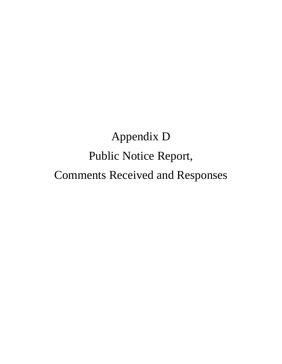Appendix D Public Notice Report, Comments Received and Responses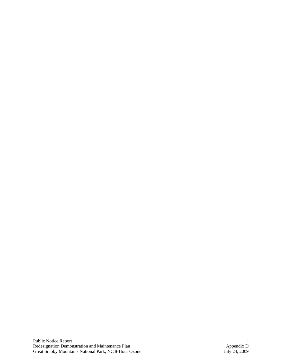Public Notice Report is a set of the set of the set of the set of the set of the set of the set of the set of the set of the set of the set of the set of the set of the set of the set of the set of the set of the set of th Redesignation Demonstration and Maintenance Plan Appendix D Appendix D Great Smoky Mountains National Park, NC 8-Hour Ozone July 24, 2009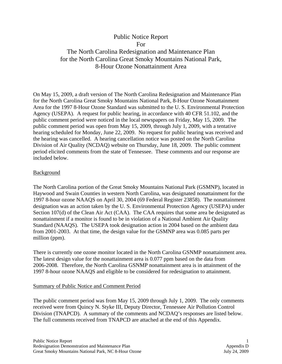## Public Notice Report For

# The North Carolina Redesignation and Maintenance Plan for the North Carolina Great Smoky Mountains National Park, 8-Hour Ozone Nonattainment Area

On May 15, 2009, a draft version of The North Carolina Redesignation and Maintenance Plan for the North Carolina Great Smoky Mountains National Park, 8-Hour Ozone Nonattainment Area for the 1997 8-Hour Ozone Standard was submitted to the U. S. Environmental Protection Agency (USEPA). A request for public hearing, in accordance with 40 CFR 51.102, and the public comment period were noticed in the local newspapers on Friday, May 15, 2009. The public comment period was open from May 15, 2009, through July 1, 2009, with a tentative hearing scheduled for Monday, June 22, 2009. No request for public hearing was received and the hearing was cancelled. A hearing cancellation notice was posted on the North Carolina Division of Air Quality (NCDAQ) website on Thursday, June 18, 2009. The public comment period elicited comments from the state of Tennessee. These comments and our response are included below.

### **Background**

The North Carolina portion of the Great Smoky Mountains National Park (GSMNP), located in Haywood and Swain Counties in western North Carolina, was designated nonattainment for the 1997 8-hour ozone NAAQS on April 30, 2004 (69 Federal Register 23858). The nonattainment designation was an action taken by the U. S. Environmental Protection Agency (USEPA) under Section 107(d) of the Clean Air Act (CAA). The CAA requires that some area be designated as nonattainment if a monitor is found to be in violation of a National Ambient Air Quality Standard (NAAQS). The USEPA took designation action in 2004 based on the ambient data from 2001-2003. At that time, the design value for the GSMNP area was 0.085 parts per million (ppm).

There is currently one ozone monitor located in the North Carolina GSNMP nonattainment area. The latest design value for the nonattainment area is 0.077 ppm based on the data from 2006-2008. Therefore, the North Carolina GSNMP nonattainment area is in attainment of the 1997 8-hour ozone NAAQS and eligible to be considered for redesignation to attainment.

## Summary of Public Notice and Comment Period

The public comment period was from May 15, 2009 through July 1, 2009. The only comments received were from Quincy N. Styke III, Deputy Director, Tennessee Air Pollution Control Division (TNAPCD). A summary of the comments and NCDAQ's responses are listed below. The full comments received from TNAPCD are attached at the end of this Appendix.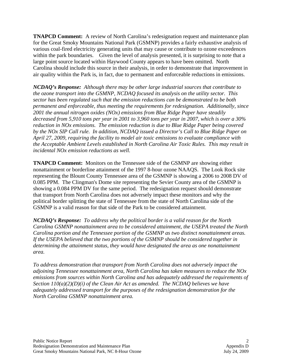**TNAPCD Comment:** A review of North Carolina's redesignation request and maintenance plan for the Great Smoky Mountains National Park (GSMNP) provides a fairly exhaustive analysis of various coal-fired electricity generating units that may cause or contribute to ozone exceedences within the park boundaries. Given the level of analysis presented, it is surprising to note that a large point source located within Haywood County appears to have been omitted. North Carolina should include this source in their analysis, in order to demonstrate that improvement in air quality within the Park is, in fact, due to permanent and enforceable reductions in emissions.

*NCDAQ's Response: Although there may be other large industrial sources that contribute to the ozone transport into the GSMNP, NCDAQ focused its analysis on the utility sector. This sector has been regulated such that the emission reductions can be demonstrated to be both permanent and enforceable, thus meeting the requirements for redesignation. Additionally, since 2001 the annual nitrogen oxides (NOx) emissions from Blue Ridge Paper have steadily decreased from 5,910 tons per year in 2001 to 3,960 tons per year in 2007, which is over a 30% reduction in NOx emissions. The emission reduction is due to Blue Ridge Paper being covered by the NOx SIP Call rule. In addition, NCDAQ issued a Director's Call to Blue Ridge Paper on April 27, 2009, requiring the facility to model air toxic emissions to evaluate compliance with the Acceptable Ambient Levels established in North Carolina Air Toxic Rules. This may result in incidental NOx emission reductions as well.* 

**TNAPCD Comment:** Monitors on the Tennessee side of the GSMNP are showing either nonattainment or borderline attainment of the 1997 8-hour ozone NAAQS. The Look Rock site representing the Blount County Tennessee area of the GSMNP is showing a 2006 to 2008 DV of 0.085 PPM. The Clingman's Dome site representing the Sevier County area of the GSMNP is showing a 0.084 PPM DV for the same period. The redesignation request should demonstrate that transport from North Carolina does not adversely impact these monitors and why the political border splitting the state of Tennessee from the state of North Carolina side of the GSMNP is a valid reason for that side of the Park to be considered attainment.

*NCDAQ's Response: To address why the political border is a valid reason for the North Carolina GSMNP nonattainment area to be considered attainment, the USEPA treated the North Carolina portion and the Tennessee portion of the GSMNP as two distinct nonattainment areas. If the USEPA believed that the two portions of the GSMNP should be considered together in determining the attainment status, they would have designated the area as one nonattainment area.* 

*To address demonstration that transport from North Carolina does not adversely impact the adjoining Tennessee nonattainment area, North Carolina has taken measures to reduce the NOx emissions from sources within North Carolina and has adequately addressed the requirements of Section 110(a)(2)(D)(i) of the Clean Air Act as amended. The NCDAQ believes we have adequately addressed transport for the purposes of the redesignation demonstration for the North Carolina GSMNP nonattainment area.*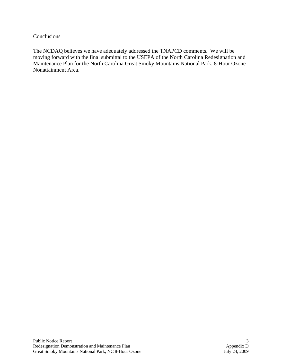**Conclusions** 

The NCDAQ believes we have adequately addressed the TNAPCD comments. We will be moving forward with the final submittal to the USEPA of the North Carolina Redesignation and Maintenance Plan for the North Carolina Great Smoky Mountains National Park, 8-Hour Ozone Nonattainment Area.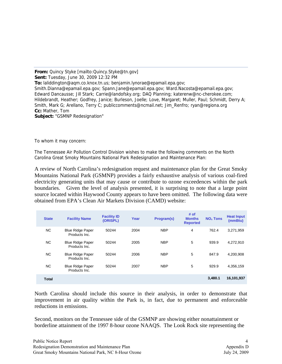**From:** Quincy Styke [mailto:Quincy.Styke@tn.gov] **Sent:** Tuesday, June 30, 2009 12:32 PM **To:** laliddington@aqm.co.knox.tn.us; benjamin.lynorae@epamail.epa.gov; Smith.Dianna@epamail.epa.gov; Spann.Jane@epamail.epa.gov; Ward.Nacosta@epamail.epa.gov; Edward Dancausse; Jill Stark; Carrie@landofsky.org; DAQ Planning; katerenw@nc-cherokee.com; Hildebrandt, Heather; Godfrey, Janice; Burleson, Joelle; Love, Margaret; Muller, Paul; Schmidt, Derry A; Smith, Mark G; Arellano, Terry C; publiccomments@ncmail.net; Jim\_Renfro; ryan@regiona.org **Cc:** Mather, Tom **Subject:** "GSMNP Redesignation"

To whom it may concern:

The Tennessee Air Pollution Control Division wishes to make the following comments on the North Carolina Great Smoky Mountains National Park Redesignation and Maintenance Plan:

A review of North Carolina's redesignation request and maintenance plan for the Great Smoky Mountains National Park (GSMNP) provides a fairly exhaustive analysis of various coal-fired electricity generating units that may cause or contribute to ozone exceedences within the park boundaries. Given the level of analysis presented, it is surprising to note that a large point source located within Haywood County appears to have been omitted. The following data were obtained from EPA's Clean Air Markets Division (CAMD) website:

| <b>State</b> | <b>Facility Name</b>                     | <b>Facility ID</b><br>(ORISPL) | Year | Program(s) | # of<br><b>Months</b><br><b>Reported</b> | <b>NO<sub>x</sub></b> Tons | <b>Heat Input</b><br>(mmBtu) |
|--------------|------------------------------------------|--------------------------------|------|------------|------------------------------------------|----------------------------|------------------------------|
| NC.          | <b>Blue Ridge Paper</b><br>Products Inc. | 50244                          | 2004 | <b>NBP</b> | 4                                        | 762.4                      | 3,271,959                    |
| <b>NC</b>    | <b>Blue Ridge Paper</b><br>Products Inc. | 50244                          | 2005 | <b>NBP</b> | 5                                        | 939.9                      | 4,272,910                    |
| <b>NC</b>    | <b>Blue Ridge Paper</b><br>Products Inc. | 50244                          | 2006 | <b>NBP</b> | 5                                        | 847.9                      | 4,200,908                    |
| <b>NC</b>    | <b>Blue Ridge Paper</b><br>Products Inc. | 50244                          | 2007 | <b>NBP</b> | 5                                        | 929.9                      | 4,356,159                    |
| <b>Total</b> |                                          |                                |      |            |                                          | 3,480.1                    | 16,101,937                   |

North Carolina should include this source in their analysis, in order to demonstrate that improvement in air quality within the Park is, in fact, due to permanent and enforceable reductions in emissions.

Second, monitors on the Tennessee side of the GSMNP are showing either nonattainment or borderline attainment of the 1997 8-hour ozone NAAQS. The Look Rock site representing the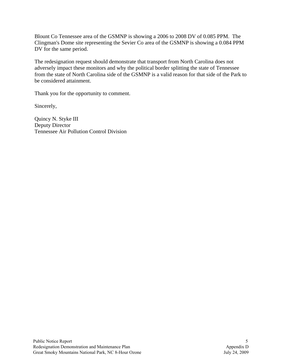Blount Co Tennessee area of the GSMNP is showing a 2006 to 2008 DV of 0.085 PPM. The Clingman's Dome site representing the Sevier Co area of the GSMNP is showing a 0.084 PPM DV for the same period.

The redesignation request should demonstrate that transport from North Carolina does not adversely impact these monitors and why the political border splitting the state of Tennessee from the state of North Carolina side of the GSMNP is a valid reason for that side of the Park to be considered attainment.

Thank you for the opportunity to comment.

Sincerely,

Quincy N. Styke III Deputy Director Tennessee Air Pollution Control Division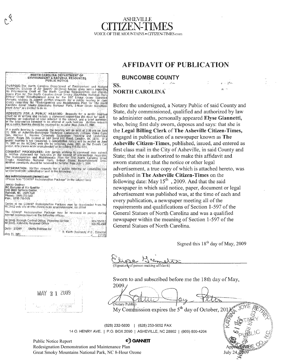

REQUESTS FOR A PUBLIC HEARING. Requests for a public hearing<br>must be in writing and include a statement?supporting the need for such c<br>hearing, an indication of your interest in the subject, and a brief summary<br>of the info

If a public hearing is requested, the hearing will be held at 2:00 pm on June 22, 2009, at Asheville-Buncombe Technical Community College, Enka: Cample 2013. Harvey 1. Havnes Corporate Technical Community College, Enka: Ca

COMMENT PROCEDURES: Any person wishing to comment may submit<br>a written statement for inclusion in the record of proceedings regarding<br>The Redesignation and Maintenance Plan for The North Carolina Great<br>Smoky. Mountains Nat

INFORMATION: Written requests for a public hearing or comments cor<br>be electronically submitted or sent to the following:

deg.publiccomments@ncmall.net<br>(Please type "GSMNP Redesignation Package" in the subject line) Janice Godfrey

|                        | <b>INC Division of Air Quality</b><br>  <b>164F MathService Center:</b>    1913    1913    1914    1915    1915    1915    1915    1915    1916    1916    1 |  |  |  |
|------------------------|--------------------------------------------------------------------------------------------------------------------------------------------------------------|--|--|--|
| Roleigh, NC 27699-1641 |                                                                                                                                                              |  |  |  |
|                        | Phone: (919).715-7447.<br> Pax: (919).715-7476<br>  A. (1980).715-7476.                                                                                      |  |  |  |
|                        | Copies of the GSMNP Redesignation Package may be downloaded from the<br>INCDAQ web site at attp://www.ncair.org/planning/nc_sip.shtml                        |  |  |  |
|                        | The GSMNP Redesignation Package may be reviewed in person during<br>normal business hours at the following offices.                                          |  |  |  |
|                        |                                                                                                                                                              |  |  |  |

| Dote: 5/12/09<br>Shella Holman for | $\overline{a}$<br><br>141                     |
|------------------------------------|-----------------------------------------------|
|                                    | B. Keith Overcash, P.E., Director<br><b>A</b> |
| May 15,<br>2002                    | Æ                                             |

# **AFFIDAVIT OF PUBLICATION**

### **BUNCOMBE COUNTY**

SS. **NORTH CAROLINA** 

ASHEVILLE

VOICE OF THE MOUNTAINS . CITIZEN-TIMES.com

Before the undersigned, a Notary Public of said County and State, duly commissioned, qualified and authorized by law to administer oaths, personally appeared Elyse Giannetti, who, being first duly sworn, deposes and says: that she is the Legal Billing Clerk of The Asheville Citizen-Times, engaged in publication of a newspaper known as The Asheville Citizen-Times, published, issued, and entered as first class mail in the City of Asheville, in said County and State; that she is authorized to make this affidavit and sworn statement; that the notice or other legal advertisement, a true copy of which is attached hereto, was published in The Asheville Citizen-Times on the following date: May 15<sup>th</sup>, 2009. And that the said newspaper in which said notice, paper, document or legal advertisement was published was, at the time of each and every publication, a newspaper meeting all of the requirements and qualifications of Section 1-597 of the General Statues of North Carolina and was a qualified newspaper within the meaning of Section 1-597 of the General Statues of North Carolina.

Signed this  $18<sup>th</sup>$  day of May, 2009

 $I_{\text{ll}}$  2.

gnature of person making affidavit)

Sworn to and subscribed before me the 18th day of May,



2009. Notary Public My Commission expires the  $5<sup>th</sup>$  day of October, 2013

(828) 232-5830 | (828) 253-5092 FAX 14 O. HENRY AVE. | P.O. BOX 2090 | ASHEVILLE, NC 28802 | (800) 800-4204

C) GANNETT Public Notice Report Redesignation Demonstration and Maintenance Plan Great Smoky Mountains National Park, NC 8-Hour Ozone